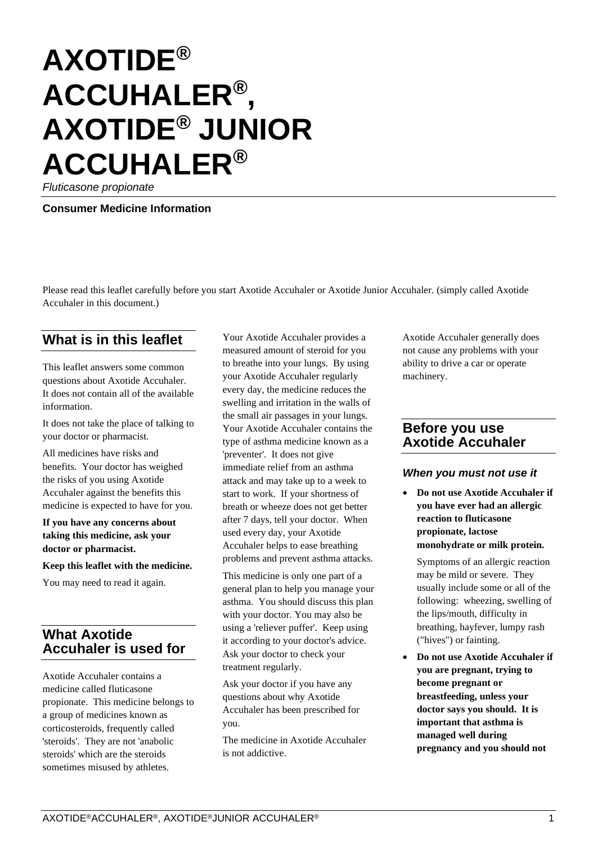# **AXOTIDE® ACCUHALER® , AXOTIDE® JUNIOR ACCUHALER®**

*Fluticasone propionate*

#### **Consumer Medicine Information**

Please read this leaflet carefully before you start Axotide Accuhaler or Axotide Junior Accuhaler. (simply called Axotide Accuhaler in this document.)

# **What is in this leaflet**

This leaflet answers some common questions about Axotide Accuhaler. It does not contain all of the available information.

It does not take the place of talking to your doctor or pharmacist.

All medicines have risks and benefits. Your doctor has weighed the risks of you using Axotide Accuhaler against the benefits this medicine is expected to have for you.

**If you have any concerns about taking this medicine, ask your doctor or pharmacist.**

#### **Keep this leaflet with the medicine.**

You may need to read it again.

# **What Axotide Accuhaler is used for**

Axotide Accuhaler contains a medicine called fluticasone propionate. This medicine belongs to a group of medicines known as corticosteroids, frequently called 'steroids'. They are not 'anabolic steroids' which are the steroids sometimes misused by athletes.

Your Axotide Accuhaler provides a measured amount of steroid for you to breathe into your lungs. By using your Axotide Accuhaler regularly every day, the medicine reduces the swelling and irritation in the walls of the small air passages in your lungs. Your Axotide Accuhaler contains the type of asthma medicine known as a 'preventer'. It does not give immediate relief from an asthma attack and may take up to a week to start to work. If your shortness of breath or wheeze does not get better after 7 days, tell your doctor. When used every day, your Axotide Accuhaler helps to ease breathing problems and prevent asthma attacks.

This medicine is only one part of a general plan to help you manage your asthma. You should discuss this plan with your doctor. You may also be using a 'reliever puffer'. Keep using it according to your doctor's advice. Ask your doctor to check your treatment regularly.

Ask your doctor if you have any questions about why Axotide Accuhaler has been prescribed for you.

The medicine in Axotide Accuhaler is not addictive.

Axotide Accuhaler generally does not cause any problems with your ability to drive a car or operate machinery.

## **Before you use Axotide Accuhaler**

#### *When you must not use it*

• **Do not use Axotide Accuhaler if you have ever had an allergic reaction to fluticasone propionate, lactose monohydrate or milk protein.**

Symptoms of an allergic reaction may be mild or severe. They usually include some or all of the following: wheezing, swelling of the lips/mouth, difficulty in breathing, hayfever, lumpy rash ("hives") or fainting.

• **Do not use Axotide Accuhaler if you are pregnant, trying to become pregnant or breastfeeding, unless your doctor says you should. It is important that asthma is managed well during pregnancy and you should not**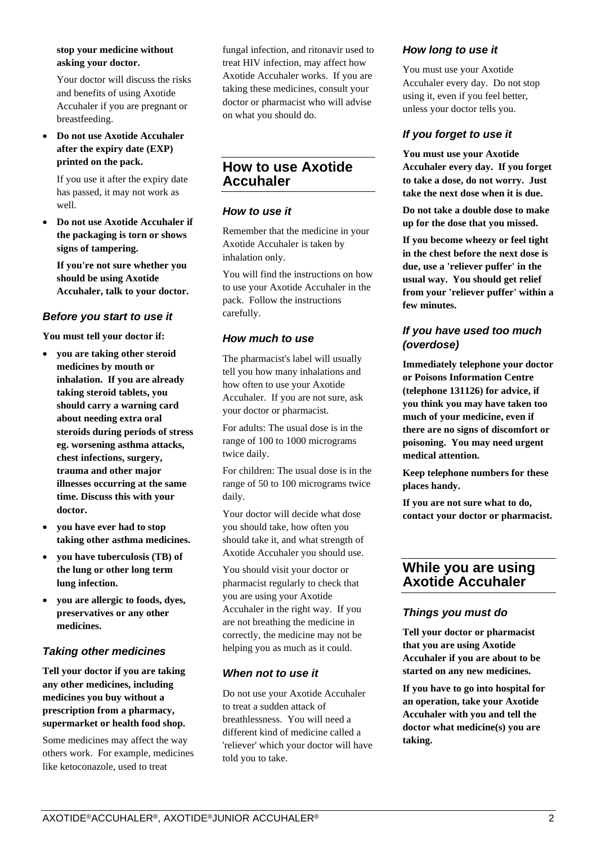#### **stop your medicine without asking your doctor.**

Your doctor will discuss the risks and benefits of using Axotide Accuhaler if you are pregnant or breastfeeding.

• **Do not use Axotide Accuhaler after the expiry date (EXP) printed on the pack.**

If you use it after the expiry date has passed, it may not work as well.

• **Do not use Axotide Accuhaler if the packaging is torn or shows signs of tampering.**

**If you're not sure whether you should be using Axotide Accuhaler, talk to your doctor.**

#### *Before you start to use it*

**You must tell your doctor if:**

- **you are taking other steroid medicines by mouth or inhalation. If you are already taking steroid tablets, you should carry a warning card about needing extra oral steroids during periods of stress eg. worsening asthma attacks, chest infections, surgery, trauma and other major illnesses occurring at the same time. Discuss this with your doctor.**
- **you have ever had to stop taking other asthma medicines.**
- **you have tuberculosis (TB) of the lung or other long term lung infection.**
- **you are allergic to foods, dyes, preservatives or any other medicines.**

## *Taking other medicines*

**Tell your doctor if you are taking any other medicines, including medicines you buy without a prescription from a pharmacy, supermarket or health food shop.**

Some medicines may affect the way others work. For example, medicines like ketoconazole, used to treat

fungal infection, and ritonavir used to treat HIV infection, may affect how Axotide Accuhaler works. If you are taking these medicines, consult your doctor or pharmacist who will advise on what you should do.

# **How to use Axotide Accuhaler**

#### *How to use it*

Remember that the medicine in your Axotide Accuhaler is taken by inhalation only.

You will find the instructions on how to use your Axotide Accuhaler in the pack. Follow the instructions carefully.

## *How much to use*

The pharmacist's label will usually tell you how many inhalations and how often to use your Axotide Accuhaler. If you are not sure, ask your doctor or pharmacist.

For adults: The usual dose is in the range of 100 to 1000 micrograms twice daily.

For children: The usual dose is in the range of 50 to 100 micrograms twice daily.

Your doctor will decide what dose you should take, how often you should take it, and what strength of Axotide Accuhaler you should use.

You should visit your doctor or pharmacist regularly to check that you are using your Axotide Accuhaler in the right way. If you are not breathing the medicine in correctly, the medicine may not be helping you as much as it could.

#### *When not to use it*

Do not use your Axotide Accuhaler to treat a sudden attack of breathlessness. You will need a different kind of medicine called a 'reliever' which your doctor will have told you to take.

## *How long to use it*

You must use your Axotide Accuhaler every day. Do not stop using it, even if you feel better, unless your doctor tells you.

## *If you forget to use it*

**You must use your Axotide Accuhaler every day. If you forget to take a dose, do not worry. Just take the next dose when it is due.**

**Do not take a double dose to make up for the dose that you missed.**

**If you become wheezy or feel tight in the chest before the next dose is due, use a 'reliever puffer' in the usual way. You should get relief from your 'reliever puffer' within a few minutes.**

## *If you have used too much (overdose)*

**Immediately telephone your doctor or Poisons Information Centre (telephone 131126) for advice, if you think you may have taken too much of your medicine, even if there are no signs of discomfort or poisoning. You may need urgent medical attention.**

**Keep telephone numbers for these places handy.**

**If you are not sure what to do, contact your doctor or pharmacist.**

# **While you are using Axotide Accuhaler**

## *Things you must do*

**Tell your doctor or pharmacist that you are using Axotide Accuhaler if you are about to be started on any new medicines.**

**If you have to go into hospital for an operation, take your Axotide Accuhaler with you and tell the doctor what medicine(s) you are taking.**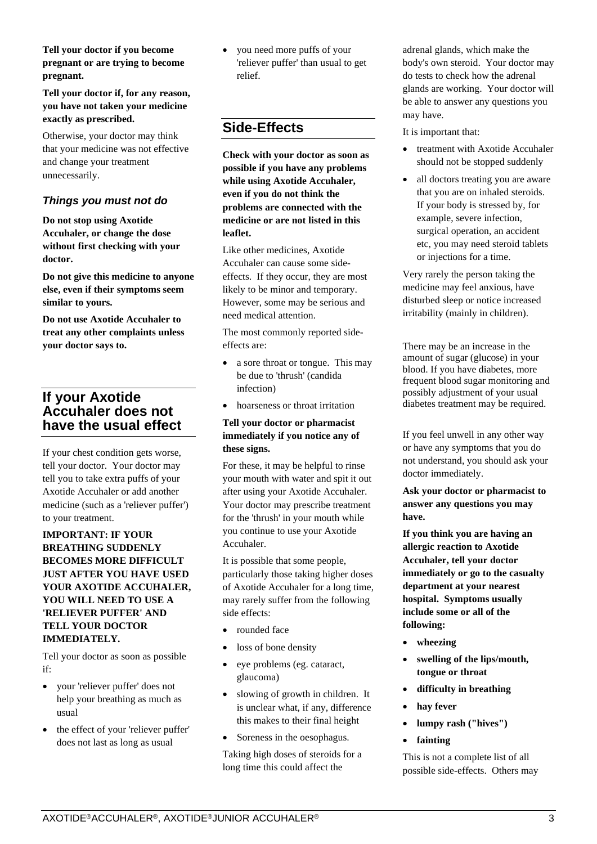**Tell your doctor if you become pregnant or are trying to become pregnant.**

**Tell your doctor if, for any reason, you have not taken your medicine exactly as prescribed.**

Otherwise, your doctor may think that your medicine was not effective and change your treatment unnecessarily.

#### *Things you must not do*

**Do not stop using Axotide Accuhaler, or change the dose without first checking with your doctor.**

**Do not give this medicine to anyone else, even if their symptoms seem similar to yours.**

**Do not use Axotide Accuhaler to treat any other complaints unless your doctor says to.**

# **If your Axotide Accuhaler does not have the usual effect**

If your chest condition gets worse, tell your doctor. Your doctor may tell you to take extra puffs of your Axotide Accuhaler or add another medicine (such as a 'reliever puffer') to your treatment.

**IMPORTANT: IF YOUR BREATHING SUDDENLY BECOMES MORE DIFFICULT JUST AFTER YOU HAVE USED YOUR AXOTIDE ACCUHALER, YOU WILL NEED TO USE A 'RELIEVER PUFFER' AND TELL YOUR DOCTOR IMMEDIATELY.**

Tell your doctor as soon as possible if:

- your 'reliever puffer' does not help your breathing as much as usual
- the effect of your 'reliever puffer' does not last as long as usual

• you need more puffs of your 'reliever puffer' than usual to get relief.

# **Side-Effects**

**Check with your doctor as soon as possible if you have any problems while using Axotide Accuhaler, even if you do not think the problems are connected with the medicine or are not listed in this leaflet.**

Like other medicines, Axotide Accuhaler can cause some sideeffects. If they occur, they are most likely to be minor and temporary. However, some may be serious and need medical attention.

The most commonly reported sideeffects are:

- a sore throat or tongue. This may be due to 'thrush' (candida infection)
- hoarseness or throat irritation

#### **Tell your doctor or pharmacist immediately if you notice any of these signs.**

For these, it may be helpful to rinse your mouth with water and spit it out after using your Axotide Accuhaler. Your doctor may prescribe treatment for the 'thrush' in your mouth while you continue to use your Axotide Accuhaler.

It is possible that some people, particularly those taking higher doses of Axotide Accuhaler for a long time, may rarely suffer from the following side effects:

- rounded face
- loss of bone density
- eye problems (eg. cataract, glaucoma)
- slowing of growth in children. It is unclear what, if any, difference this makes to their final height
- Soreness in the oesophagus.

Taking high doses of steroids for a long time this could affect the

adrenal glands, which make the body's own steroid. Your doctor may do tests to check how the adrenal glands are working. Your doctor will be able to answer any questions you may have.

It is important that:

- treatment with Axotide Accuhaler should not be stopped suddenly
- all doctors treating you are aware that you are on inhaled steroids. If your body is stressed by, for example, severe infection, surgical operation, an accident etc, you may need steroid tablets or injections for a time.

Very rarely the person taking the medicine may feel anxious, have disturbed sleep or notice increased irritability (mainly in children).

There may be an increase in the amount of sugar (glucose) in your blood. If you have diabetes, more frequent blood sugar monitoring and possibly adjustment of your usual diabetes treatment may be required.

If you feel unwell in any other way or have any symptoms that you do not understand, you should ask your doctor immediately.

**Ask your doctor or pharmacist to answer any questions you may have.**

**If you think you are having an allergic reaction to Axotide Accuhaler, tell your doctor immediately or go to the casualty department at your nearest hospital. Symptoms usually include some or all of the following:**

- **wheezing**
- **swelling of the lips/mouth, tongue or throat**
- **difficulty in breathing**
- **hay fever**
- **lumpy rash ("hives")**
- **fainting**

This is not a complete list of all possible side-effects. Others may